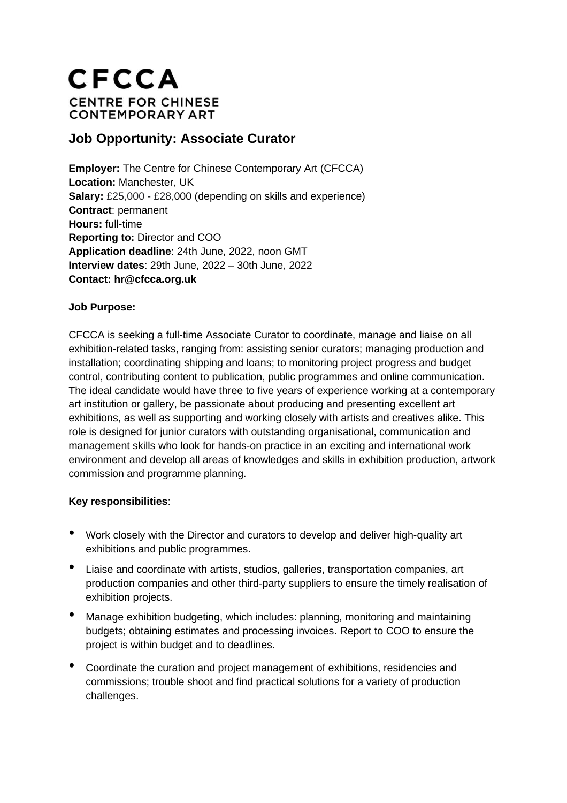# **CFCCA CENTRE FOR CHINESE CONTEMPORARY ART**

## **Job Opportunity: Associate Curator**

**Employer:** The Centre for Chinese Contemporary Art (CFCCA) **Location:** Manchester, UK **Salary:** £25,000 - £28,000 (depending on skills and experience) **Contract**: permanent **Hours:** full-time **Reporting to:** Director and COO **Application deadline**: 24th June, 2022, noon GMT **Interview dates**: 29th June, 2022 – 30th June, 2022 **Contact: hr@cfcca.org.uk**

### **Job Purpose:**

CFCCA is seeking a full-time Associate Curator to coordinate, manage and liaise on all exhibition-related tasks, ranging from: assisting senior curators; managing production and installation; coordinating shipping and loans; to monitoring project progress and budget control, contributing content to publication, public programmes and online communication. The ideal candidate would have three to five years of experience working at a contemporary art institution or gallery, be passionate about producing and presenting excellent art exhibitions, as well as supporting and working closely with artists and creatives alike. This role is designed for junior curators with outstanding organisational, communication and management skills who look for hands-on practice in an exciting and international work environment and develop all areas of knowledges and skills in exhibition production, artwork commission and programme planning.

### **Key responsibilities**:

- Work closely with the Director and curators to develop and deliver high-quality art exhibitions and public programmes.
- Liaise and coordinate with artists, studios, galleries, transportation companies, art production companies and other third-party suppliers to ensure the timely realisation of exhibition projects.
- Manage exhibition budgeting, which includes: planning, monitoring and maintaining budgets; obtaining estimates and processing invoices. Report to COO to ensure the project is within budget and to deadlines.
- Coordinate the curation and project management of exhibitions, residencies and commissions; trouble shoot and find practical solutions for a variety of production challenges.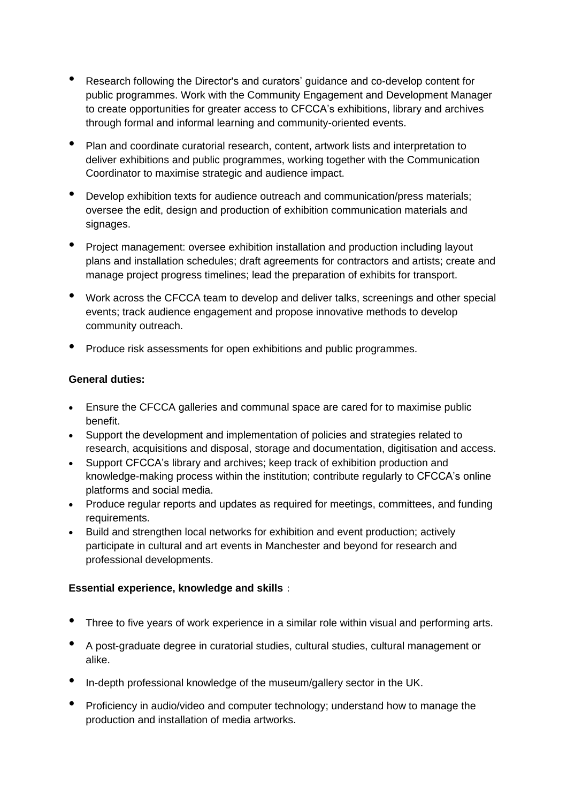- Research following the Director's and curators' guidance and co-develop content for public programmes. Work with the Community Engagement and Development Manager to create opportunities for greater access to CFCCA's exhibitions, library and archives through formal and informal learning and community-oriented events.
- Plan and coordinate curatorial research, content, artwork lists and interpretation to deliver exhibitions and public programmes, working together with the Communication Coordinator to maximise strategic and audience impact.
- Develop exhibition texts for audience outreach and communication/press materials; oversee the edit, design and production of exhibition communication materials and signages.
- Project management: oversee exhibition installation and production including layout plans and installation schedules; draft agreements for contractors and artists; create and manage project progress timelines; lead the preparation of exhibits for transport.
- Work across the CFCCA team to develop and deliver talks, screenings and other special events; track audience engagement and propose innovative methods to develop community outreach.
- Produce risk assessments for open exhibitions and public programmes.

#### **General duties:**

- Ensure the CFCCA galleries and communal space are cared for to maximise public benefit.
- Support the development and implementation of policies and strategies related to research, acquisitions and disposal, storage and documentation, digitisation and access.
- Support CFCCA's library and archives; keep track of exhibition production and knowledge-making process within the institution; contribute regularly to CFCCA's online platforms and social media.
- Produce regular reports and updates as required for meetings, committees, and funding requirements.
- Build and strengthen local networks for exhibition and event production; actively participate in cultural and art events in Manchester and beyond for research and professional developments.

### **Essential experience, knowledge and skills**:

- Three to five years of work experience in a similar role within visual and performing arts.
- <sup>A</sup> post-graduate degree in curatorial studies, cultural studies, cultural management or alike.
- In-depth professional knowledge of the museum/gallery sector in the UK.
- Proficiency in audio/video and computer technology; understand how to manage the production and installation of media artworks.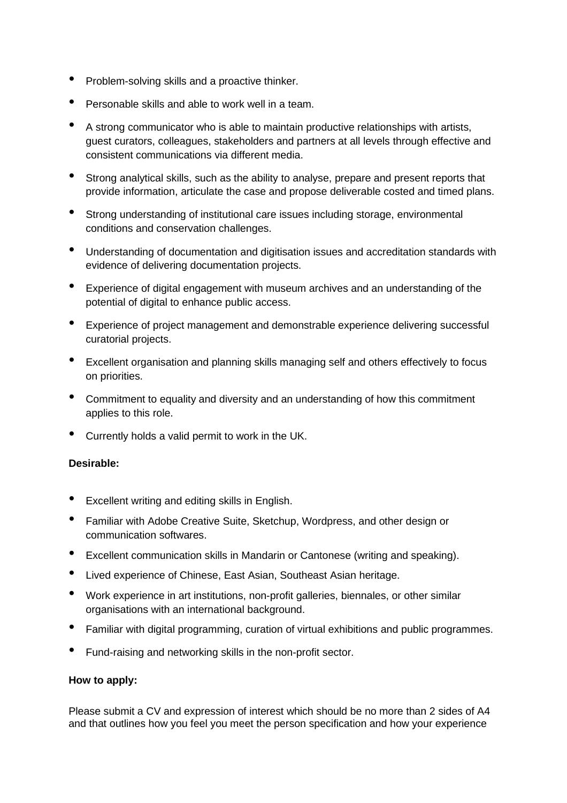- Problem-solving skills and <sup>a</sup> proactive thinker.
- Personable skills and able to work well in <sup>a</sup> team.
- <sup>A</sup> strong communicator who is able to maintain productive relationships with artists, guest curators, colleagues, stakeholders and partners at all levels through effective and consistent communications via different media.
- Strong analytical skills, such as the ability to analyse, prepare and present reports that provide information, articulate the case and propose deliverable costed and timed plans.
- Strong understanding of institutional care issues including storage, environmental conditions and conservation challenges.
- Understanding of documentation and digitisation issues and accreditation standards with evidence of delivering documentation projects.
- Experience of digital engagement with museum archives and an understanding of the potential of digital to enhance public access.
- Experience of project management and demonstrable experience delivering successful curatorial projects.
- Excellent organisation and planning skills managing self and others effectively to focus on priorities.
- Commitment to equality and diversity and an understanding of how this commitment applies to this role.
- Currently holds <sup>a</sup> valid permit to work in the UK.

#### **Desirable:**

- Excellent writing and editing skills in English.
- Familiar with Adobe Creative Suite, Sketchup, Wordpress, and other design or communication softwares.
- Excellent communication skills in Mandarin or Cantonese (writing and speaking).
- Lived experience of Chinese, East Asian, Southeast Asian heritage.
- Work experience in art institutions, non-profit galleries, biennales, or other similar organisations with an international background.
- Familiar with digital programming, curation of virtual exhibitions and public programmes.
- Fund-raising and networking skills in the non-profit sector.

#### **How to apply:**

Please submit a CV and expression of interest which should be no more than 2 sides of A4 and that outlines how you feel you meet the person specification and how your experience